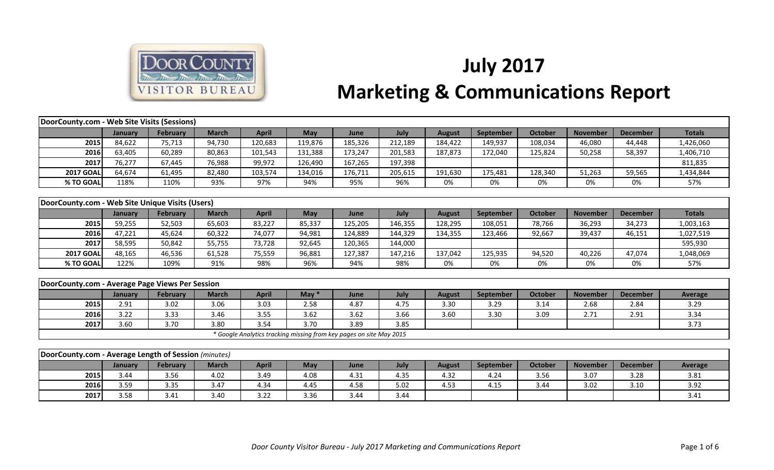

## **July 2017 Marketing & Communications Report**

| DoorCounty.com - Web Site Visits (Sessions)          |         |                 |              |                                                                     |            |         |         |               |                  |                |                 |                 |                |
|------------------------------------------------------|---------|-----------------|--------------|---------------------------------------------------------------------|------------|---------|---------|---------------|------------------|----------------|-----------------|-----------------|----------------|
|                                                      | January | February        | <b>March</b> | <b>April</b>                                                        | May        | June    | July    | <b>August</b> | <b>September</b> | <b>October</b> | <b>November</b> | <b>December</b> | <b>Totals</b>  |
| 2015                                                 | 84,622  | 75,713          | 94,730       | 120,683                                                             | 119,876    | 185,326 | 212,189 | 184,422       | 149,937          | 108,034        | 46,080          | 44,448          | 1,426,060      |
| 2016                                                 | 63,405  | 60,289          | 80,863       | 101,543                                                             | 131,388    | 173,247 | 201,583 | 187,873       | 172,040          | 125,824        | 50,258          | 58,397          | 1,406,710      |
| 2017                                                 | 76,277  | 67,445          | 76,988       | 99,972                                                              | 126,490    | 167,265 | 197,398 |               |                  |                |                 |                 | 811,835        |
| <b>2017 GOAL</b>                                     | 64,674  | 61,495          | 82,480       | 103,574                                                             | 134,016    | 176,711 | 205,615 | 191,630       | 175,481          | 128,340        | 51,263          | 59,565          | 1,434,844      |
| % TO GOAL                                            | 118%    | 110%            | 93%          | 97%                                                                 | 94%        | 95%     | 96%     | 0%            | 0%               | 0%             | 0%              | 0%              | 57%            |
|                                                      |         |                 |              |                                                                     |            |         |         |               |                  |                |                 |                 |                |
| DoorCounty.com - Web Site Unique Visits (Users)      |         |                 |              |                                                                     |            |         |         |               |                  |                |                 |                 |                |
|                                                      | January | <b>February</b> | <b>March</b> | <b>April</b>                                                        | <b>May</b> | June    | July    | <b>August</b> | <b>September</b> | <b>October</b> | <b>November</b> | <b>December</b> | <b>Totals</b>  |
| 2015                                                 | 59,255  | 52,503          | 65,603       | 83,227                                                              | 85,337     | 125,205 | 146,355 | 128,295       | 108,051          | 78,766         | 36,293          | 34,273          | 1,003,163      |
| 2016                                                 | 47,221  | 45,624          | 60,322       | 74,077                                                              | 94,981     | 124,889 | 144,329 | 134,355       | 123,466          | 92,667         | 39,437          | 46,151          | 1,027,519      |
| 2017                                                 | 58,595  | 50,842          | 55,755       | 73,728                                                              | 92,645     | 120,365 | 144,000 |               |                  |                |                 |                 | 595,930        |
| <b>2017 GOAL</b>                                     | 48,165  | 46,536          | 61,528       | 75,559                                                              | 96,881     | 127,387 | 147,216 | 137,042       | 125,935          | 94,520         | 40,226          | 47,074          | 1,048,069      |
| % TO GOAL                                            | 122%    | 109%            | 91%          | 98%                                                                 | 96%        | 94%     | 98%     | 0%            | 0%               | 0%             | 0%              | 0%              | 57%            |
|                                                      |         |                 |              |                                                                     |            |         |         |               |                  |                |                 |                 |                |
| DoorCounty.com - Average Page Views Per Session      |         |                 |              |                                                                     |            |         |         |               |                  |                |                 |                 |                |
|                                                      | January | <b>February</b> | <b>March</b> | <b>April</b>                                                        | May $*$    | June    | July    | <b>August</b> | <b>September</b> | <b>October</b> | <b>November</b> | <b>December</b> | <b>Average</b> |
| 2015                                                 | 2.91    | 3.02            | 3.06         | 3.03                                                                | 2.58       | 4.87    | 4.75    | 3.30          | 3.29             | 3.14           | 2.68            | 2.84            | 3.29           |
| 2016                                                 | 3.22    | 3.33            | 3.46         | 3.55                                                                | 3.62       | 3.62    | 3.66    | 3.60          | 3.30             | 3.09           | 2.71            | 2.91            | 3.34           |
| 2017                                                 | 3.60    | 3.70            | 3.80         | 3.54                                                                | 3.70       | 3.89    | 3.85    |               |                  |                |                 |                 | 3.73           |
|                                                      |         |                 |              | * Google Analytics tracking missing from key pages on site May 2015 |            |         |         |               |                  |                |                 |                 |                |
|                                                      |         |                 |              |                                                                     |            |         |         |               |                  |                |                 |                 |                |
| DoorCounty.com - Average Length of Session (minutes) |         |                 |              |                                                                     |            |         |         |               |                  |                |                 |                 |                |
|                                                      | January | February        | <b>March</b> | <b>April</b>                                                        | May        | June    | July    | <b>August</b> | September        | <b>October</b> | <b>November</b> | <b>December</b> | <b>Average</b> |
| 2015                                                 | 3.44    | 3.56            | 4.02         | 3.49                                                                | 4.08       | 4.31    | 4.35    | 4.32          | 4.24             | 3.56           | 3.07            | 3.28            | 3.81           |
| 2016                                                 | 3.59    | 3.35            | 3.47         | 4.34                                                                | 4.45       | 4.58    | 5.02    | 4.53          | 4.15             | 3.44           | 3.02            | 3.10            | 3.92           |
| 2017                                                 | 3.58    | 3.41            | 3.40         | 3.22                                                                | 3.36       | 3.44    | 3.44    |               |                  |                |                 |                 | 3.41           |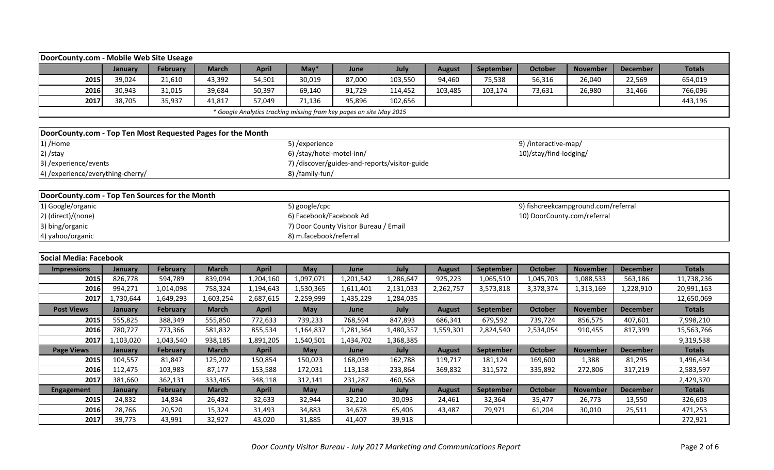| DoorCounty.com - Mobile Web Site Useage                     |           |                 |              |                                                                     |                           |                                               |           |               |           |                                     |                 |                 |               |
|-------------------------------------------------------------|-----------|-----------------|--------------|---------------------------------------------------------------------|---------------------------|-----------------------------------------------|-----------|---------------|-----------|-------------------------------------|-----------------|-----------------|---------------|
|                                                             | January   | <b>February</b> | <b>March</b> | <b>April</b>                                                        | $May*$                    | June                                          | July      | <b>August</b> | September | <b>October</b>                      | <b>November</b> | <b>December</b> | <b>Totals</b> |
| 2015                                                        | 39,024    | 21,610          | 43,392       | 54,501                                                              | 30,019                    | 87,000                                        | 103,550   | 94,460        | 75,538    | 56,316                              | 26,040          | 22,569          | 654,019       |
| 2016                                                        | 30,943    | 31,015          | 39,684       | 50,397                                                              | 69,140                    | 91,729                                        | 114,452   | 103,485       | 103,174   | 73,631                              | 26,980          | 31,466          | 766,096       |
| 2017                                                        | 38,705    | 35,937          | 41,817       | 57,049                                                              | 71,136                    | 95,896                                        | 102,656   |               |           |                                     |                 |                 | 443,196       |
|                                                             |           |                 |              | * Google Analytics tracking missing from key pages on site May 2015 |                           |                                               |           |               |           |                                     |                 |                 |               |
|                                                             |           |                 |              |                                                                     |                           |                                               |           |               |           |                                     |                 |                 |               |
| DoorCounty.com - Top Ten Most Requested Pages for the Month |           |                 |              |                                                                     |                           |                                               |           |               |           |                                     |                 |                 |               |
| 1) /Home                                                    |           |                 |              |                                                                     | 5) / experience           |                                               |           |               |           | 9) /interactive-map/                |                 |                 |               |
| 2) /stay                                                    |           |                 |              |                                                                     | 6) /stay/hotel-motel-inn/ |                                               |           |               |           | 10)/stay/find-lodging/              |                 |                 |               |
| 3) /experience/events                                       |           |                 |              |                                                                     |                           | 7) /discover/guides-and-reports/visitor-guide |           |               |           |                                     |                 |                 |               |
| 4) /experience/everything-cherry/                           |           |                 |              |                                                                     | 8) /family-fun/           |                                               |           |               |           |                                     |                 |                 |               |
|                                                             |           |                 |              |                                                                     |                           |                                               |           |               |           |                                     |                 |                 |               |
| DoorCounty.com - Top Ten Sources for the Month              |           |                 |              |                                                                     |                           |                                               |           |               |           |                                     |                 |                 |               |
| 1) Google/organic                                           |           |                 |              |                                                                     | 5) google/cpc             |                                               |           |               |           | 9) fishcreekcampground.com/referral |                 |                 |               |
| 2) (direct)/(none)                                          |           |                 |              |                                                                     | 6) Facebook/Facebook Ad   |                                               |           |               |           | 10) DoorCounty.com/referral         |                 |                 |               |
| 3) bing/organic                                             |           |                 |              |                                                                     |                           | 7) Door County Visitor Bureau / Email         |           |               |           |                                     |                 |                 |               |
| 4) yahoo/organic                                            |           |                 |              |                                                                     | 8) m.facebook/referral    |                                               |           |               |           |                                     |                 |                 |               |
|                                                             |           |                 |              |                                                                     |                           |                                               |           |               |           |                                     |                 |                 |               |
| Social Media: Facebook                                      |           |                 |              |                                                                     |                           |                                               |           |               |           |                                     |                 |                 |               |
| <b>Impressions</b>                                          | January   | February        | <b>March</b> | <b>April</b>                                                        | May                       | June                                          | July      | <b>August</b> | September | <b>October</b>                      | <b>November</b> | <b>December</b> | <b>Totals</b> |
| 2015                                                        | 826,778   | 594,789         | 839,094      | 1,204,160                                                           | 1,097,071                 | 1,201,542                                     | 1,286,647 | 925,223       | 1,065,510 | 1,045,703                           | 1,088,533       | 563,186         | 11,738,236    |
| 2016                                                        | 994,271   | 1,014,098       | 758,324      | 1,194,643                                                           | 1,530,365                 | 1,611,401                                     | 2,131,033 | 2,262,757     | 3,573,818 | 3,378,374                           | 1,313,169       | 1,228,910       | 20,991,163    |
| 2017                                                        | 1,730,644 | 1,649,293       | 1,603,254    | 2,687,615                                                           | 2,259,999                 | 1,435,229                                     | 1,284,035 |               |           |                                     |                 |                 | 12,650,069    |
| <b>Post Views</b>                                           | January   | <b>February</b> | <b>March</b> | <b>April</b>                                                        | <b>May</b>                | June                                          | July      | <b>August</b> | September | <b>October</b>                      | <b>November</b> | <b>December</b> | <b>Totals</b> |
| 2015                                                        | 555,825   | 388,349         | 555,850      | 772,633                                                             | 739,233                   | 768,594                                       | 847,893   | 686,341       | 679,592   | 739,724                             | 856,575         | 407,601         | 7,998,210     |
| 2016                                                        | 780,727   | 773,366         | 581,832      | 855,534                                                             | 1,164,837                 | 1,281,364                                     | 1,480,357 | 1,559,301     | 2,824,540 | 2,534,054                           | 910,455         | 817,399         | 15,563,766    |
| 2017                                                        | 1,103,020 | 1,043,540       | 938,185      | 1,891,205                                                           | 1,540,501                 | 1,434,702                                     | 1,368,385 |               |           |                                     |                 |                 | 9,319,538     |
| <b>Page Views</b>                                           | January   | February        | <b>March</b> | <b>April</b>                                                        | <b>May</b>                | June                                          | July      | <b>August</b> | September | <b>October</b>                      | <b>November</b> | <b>December</b> | <b>Totals</b> |
| 2015                                                        | 104,557   | 81,847          | 125,202      | 150,854                                                             | 150,023                   | 168,039                                       | 162,788   | 119,717       | 181,124   | 169,600                             | 1,388           | 81,295          | 1,496,434     |
| 2016                                                        | 112,475   | 103,983         | 87,177       | 153,588                                                             | 172,031                   | 113,158                                       | 233,864   | 369,832       | 311,572   | 335,892                             | 272,806         | 317,219         | 2,583,597     |
| 2017                                                        | 381,660   | 362,131         | 333,465      | 348,118                                                             | 312,141                   | 231,287                                       | 460,568   |               |           |                                     |                 |                 | 2,429,370     |
| <b>Engagement</b>                                           | January   | <b>February</b> | <b>March</b> | <b>April</b>                                                        | May                       | June                                          | July      | <b>August</b> | September | <b>October</b>                      | <b>November</b> | <b>December</b> | <b>Totals</b> |
| 2015                                                        | 24,832    | 14,834          | 26,432       | 32,633                                                              | 32,944                    | 32,210                                        | 30,093    | 24,461        | 32,364    | 35,477                              | 26,773          | 13,550          | 326,603       |
| 2016                                                        | 28,766    | 20,520          | 15,324       | 31,493                                                              | 34,883                    | 34,678                                        | 65,406    | 43,487        | 79,971    | 61,204                              | 30,010          | 25,511          | 471,253       |

**2017** 39,773 43,991 32,927 43,020 31,885 41,407 39,918 272,931 2017 272,921 272,921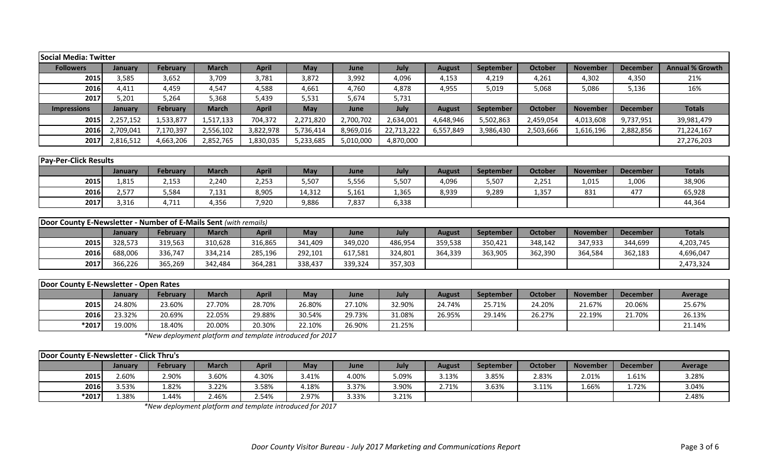| Social Media: Twitter        |                |                 |              |              |            |           |            |               |           |                |                 |                 |                        |
|------------------------------|----------------|-----------------|--------------|--------------|------------|-----------|------------|---------------|-----------|----------------|-----------------|-----------------|------------------------|
| <b>Followers</b>             | <b>January</b> | <b>February</b> | <b>March</b> | <b>April</b> | <b>May</b> | June      | July       | <b>August</b> | September | <b>October</b> | <b>November</b> | <b>December</b> | <b>Annual % Growth</b> |
| 2015                         | 3,585          | 3,652           | 3,709        | 3,781        | 3,872      | 3,992     | 4,096      | 4,153         | 4,219     | 4,261          | 4,302           | 4,350           | 21%                    |
| 2016                         | 4,411          | 4,459           | 4,547        | 4,588        | 4,661      | 4,760     | 4,878      | 4,955         | 5,019     | 5,068          | 5,086           | 5,136           | 16%                    |
| 2017                         | 5,201          | 5,264           | 5,368        | 5,439        | 5,531      | 5,674     | 5,731      |               |           |                |                 |                 |                        |
| <b>Impressions</b>           | January        | <b>February</b> | <b>March</b> | <b>April</b> | <b>May</b> | June      | July       | <b>August</b> | September | <b>October</b> | <b>November</b> | <b>December</b> | <b>Totals</b>          |
| 2015                         | 2,257,152      | 1,533,877       | 1,517,133    | 704,372      | 2,271,820  | 2,700,702 | 2,634,001  | 4,648,946     | 5,502,863 | 2,459,054      | 4,013,608       | 9,737,951       | 39,981,479             |
| 2016                         | 2,709,041      | 7,170,397       | 2,556,102    | 3,822,978    | 5,736,414  | 8,969,016 | 22,713,222 | 6,557,849     | 3,986,430 | 2,503,666      | 1,616,196       | 2,882,856       | 71,224,167             |
| 2017                         | 2,816,512      | 4,663,206       | 2,852,765    | 1,830,035    | 5,233,685  | 5,010,000 | 4,870,000  |               |           |                |                 |                 | 27,276,203             |
|                              |                |                 |              |              |            |           |            |               |           |                |                 |                 |                        |
| <b>Pay-Per-Click Results</b> |                |                 |              |              |            |           |            |               |           |                |                 |                 |                        |
|                              | <b>January</b> | <b>February</b> | <b>March</b> | <b>April</b> | <b>May</b> | June      | July       | <b>August</b> | September | <b>October</b> | <b>November</b> | <b>December</b> | <b>Totals</b>          |
| 2015                         | 1,815          | 2,153           | 2,240        | 2,253        | 5,507      | 5,556     | 5,507      | 4,096         | 5,507     | 2,251          | 1,015           | 1,006           | 38,906                 |
| 2016                         | 2,577          | 5,584           | 7,131        | 8,905        | 14,312     | 5,161     | 1,365      | 8,939         | 9,289     | 1,357          | 831             | 477             | 65,928                 |
| 2017                         | 3,316          | 4,711           | 4,356        | 7,920        | 9,886      | 7,837     | 6,338      |               |           |                |                 |                 | 44,364                 |
|                              |                |                 |              |              |            |           |            |               |           |                |                 |                 |                        |

| <b>Door County E-Newsletter - Number of E-Mails Sent (with remails)</b> |         |                 |              |         |         |         |         |         |                  |                |                 |                 |               |
|-------------------------------------------------------------------------|---------|-----------------|--------------|---------|---------|---------|---------|---------|------------------|----------------|-----------------|-----------------|---------------|
|                                                                         | January | <b>February</b> | <b>March</b> | April   | May     | June    | July    | August  | <b>September</b> | <b>October</b> | <b>November</b> | <b>December</b> | <b>Totals</b> |
| 2015                                                                    | 328.573 | 319,563         | 310,628      | 316,865 | 341,409 | 349,020 | 486,954 | 359,538 | 350.421          | 348,142        | 347,933         | 344,699         | 4,203,745     |
| 2016                                                                    | 688,006 | 336,747         | 334,214      | 285,196 | 292,101 | 617,581 | 324,801 | 364,339 | 363,905          | 362,390        | 364,584         | 362,183         | 4,696,047     |
| 2017                                                                    | 366,226 | 365,269         | 342,484      | 364,281 | 338,437 | 339,324 | 357,303 |         |                  |                |                 |                 | 2,473,324     |

| Door County E-Newsletter - Open Rates |         |                 |        |        |        |        |        |        |                  |         |          |                 |         |
|---------------------------------------|---------|-----------------|--------|--------|--------|--------|--------|--------|------------------|---------|----------|-----------------|---------|
|                                       | Januarv | <b>February</b> | March  | April  | May    | June   | July   | August | <b>September</b> | October | November | <b>December</b> | Average |
| 2015                                  | 24.80%  | 23.60%          | 27.70% | 28.70% | 26.80% | 27.10% | 32.90% | 24.74% | 25.71%           | 24.20%  | 21.67%   | 20.06%          | 25.67%  |
| 2016                                  | 23.32%  | 20.69%          | 22.05% | 29.88% | 30.54% | 29.73% | 31.08% | 26.95% | 29.14%           | 26.27%  | 22.19%   | 21.70%          | 26.13%  |
| *2017                                 | 19.00%  | 18.40%          | 20.00% | 20.30% | 22.10% | 26.90% | 21.25% |        |                  |         |          |                 | 21.14%  |

*\*New deployment platform and template introduced for 2017*

| Door County E-Newsletter - Click Thru's |                |          |              |              |            |       |       |        |                  |         |                 |                 |                |
|-----------------------------------------|----------------|----------|--------------|--------------|------------|-------|-------|--------|------------------|---------|-----------------|-----------------|----------------|
|                                         | <b>January</b> | February | <b>March</b> | <b>April</b> | <b>May</b> | June  | July  | August | <b>September</b> | October | <b>November</b> | <b>December</b> | <b>Average</b> |
| 2015                                    | 2.60%          | 2.90%    | 3.60%        | .30%         | 3.41%      | 4.00% | 5.09% | 3.13%  | 3.85%            | 2.83%   | 2.01%           | 1.61%           | 3.28%          |
| 2016                                    | 3.53%          | 82%،     | 3.22%        | 1.58%        | 4.18%      | 3.7%، | 3.90% | 2.71%  | 3.63%            | 3.11%   | 1.66%           | 1.72%           | 3.04%          |
| $*2017$                                 | 1.38%          | 1.44%    | 2.46%        | 2.54%        | 2.97%      | 3.33% | 3.21% |        |                  |         |                 |                 | 2.48%          |

*\*New deployment platform and template introduced for 2017*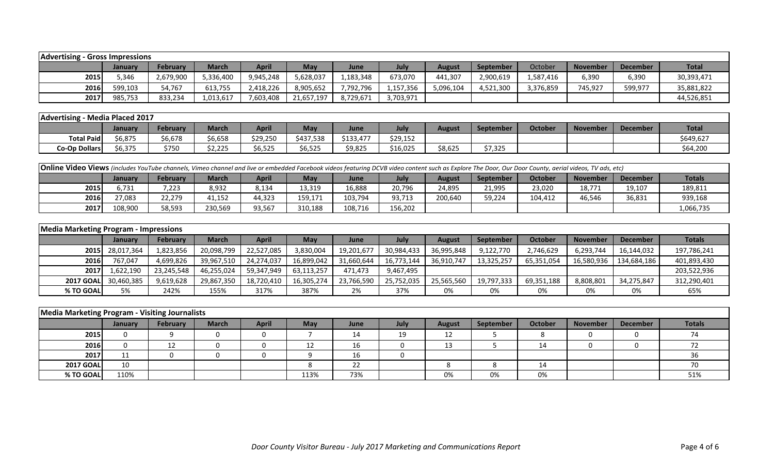| <b>Advertising</b> | - Gross Impressions |                 |              |              |            |           |           |           |                    |           |                 |                 |              |
|--------------------|---------------------|-----------------|--------------|--------------|------------|-----------|-----------|-----------|--------------------|-----------|-----------------|-----------------|--------------|
|                    | January             | <b>February</b> | <b>March</b> | <b>April</b> | <b>May</b> | June      | July      | August    | <b>September</b>   | October   | <b>November</b> | <b>December</b> | <b>Total</b> |
| 2015               | 346.ز               | 2,679,900       | 5,336,400    | 9,945,248    | 5,628,037  | 1,183,348 | 673,070   | 441,307   | 2,900,619          | .,587,416 | 6,390           | 6,390           | 30,393,471   |
| 2016               | 599,103             | 54,767          | 613,755      | 2,418,226    | 8,905,652  | ,792,796  | 1,157,356 | 5,096,104 | A 521<br>4,521,300 | 3,376,859 | 745,927         | 599,977         | 35,881,822   |
| 2017               | 985,753             | 833,234         | 1,013,617    | 7,603,408    | 21,657,197 | 8,729,671 | 3,703,971 |           |                    |           |                 |                 | 44,526,851   |

| Advertising - Media Placed 2017 |         |          |                |                        |            |           |          |         |           |         |                 |                 |              |
|---------------------------------|---------|----------|----------------|------------------------|------------|-----------|----------|---------|-----------|---------|-----------------|-----------------|--------------|
|                                 | Januarv | February | March          | April                  | <b>May</b> | June      | July     | August  | September | October | <b>November</b> | <b>December</b> | <b>Total</b> |
| <b>Total Paid</b>               | 56,875  | 6,678د   | ነ6,658         | \$29,250               | \$437,538  | \$133,477 | \$29,152 |         |           |         |                 |                 | \$649,627    |
| <b>Co-Op Dollars</b>            | \$6,375 | \$750    | הרה ה<br>ジムノムー | $A$ $C$ $E$<br>\$6,525 | \$6,525    | \$9,825   | \$16,025 | \$8,625 | \$7,325   |         |                 |                 | \$64,200     |

| <b>Online Video Views</b> (includes YouTube channels, Vimeo channel and live or embedded Facebook videos featuring DCVB video content such as Explore The Door, Our Door County, aerial videos, TV ads, etc) |                |                 |              |        |         |             |         |         |                  |                |                 |                 |               |
|--------------------------------------------------------------------------------------------------------------------------------------------------------------------------------------------------------------|----------------|-----------------|--------------|--------|---------|-------------|---------|---------|------------------|----------------|-----------------|-----------------|---------------|
|                                                                                                                                                                                                              | <b>January</b> | <b>February</b> | <b>March</b> | April  | May     | <b>June</b> | July    | August  | <b>September</b> | <b>October</b> | <b>November</b> | <b>December</b> | <b>Totals</b> |
| 2015                                                                                                                                                                                                         | 731,د          | 7,223           | 8,932        | 8,134  | 13,319  | 16,888      | 20,796  | 24,895  | 21,995           | 23,020         | 18,771          | 19,107          | 189,811       |
| 2016                                                                                                                                                                                                         | 27,083         | 22,279          | 41,152       | 44,323 | 159,171 | 103,794     | 93,713  | 200,640 | 59,224           | 104.412        | 46,546          | 36,831          | 939,168       |
| 2017                                                                                                                                                                                                         | 108,900        | 58,593          | 230,569      | 93,567 | 310,188 | 108,716     | 156,202 |         |                  |                |                 |                 | 1,066,735     |

| <b>Media Marketing Program - Impressions</b> |                 |                 |              |              |            |            |            |               |                  |            |                 |                 |               |
|----------------------------------------------|-----------------|-----------------|--------------|--------------|------------|------------|------------|---------------|------------------|------------|-----------------|-----------------|---------------|
|                                              | January         | <b>February</b> | <b>March</b> | <b>April</b> | May        | June       | July       | <b>August</b> | <b>September</b> | October    | <b>November</b> | <b>December</b> | <b>Totals</b> |
|                                              | 2015 28,017,364 | 1,823,856       | 20,098,799   | 22.527.085   | 3,830,004  | 19,201,677 | 30,984,433 | 36,995,848    | 9,122,770        | 2,746,629  | 6,293,744       | 16,144,032      | 197,786,241   |
| 2016                                         | 767,047         | 4,699,826       | 39,967,510   | 24,274,037   | 16,899,042 | 31,660,644 | 16,773,144 | 36,910,747    | 13,325,257       | 65,351,054 | 16,580,936      | 134,684,186     | 401,893,430   |
| 2017                                         | 1,622,190       | 23,245,548      | 46,255,024   | 59,347,949   | 63,113,257 | 471.473    | 9,467,495  |               |                  |            |                 |                 | 203,522,936   |
| <b>2017 GOAL</b>                             | 30,460,385      | 9,619,628       | 29,867,350   | 18,720,410   | 16,305,274 | 23,766,590 | 25,752,035 | 25,565,560    | 19,797,333       | 69,351,188 | 8,808,801       | 34,275,847      | 312,290,401   |
| % TO GOAL                                    | 5%              | 242%            | 155%         | 317%         | 387%       | 2%         | 37%        | 0%            | 0%               | 0%         | 0%              | 0%              | 65%           |

| Media Marketing Program - Visiting Journalists |                |          |              |              |            |      |      |               |           |         |                 |                 |                          |
|------------------------------------------------|----------------|----------|--------------|--------------|------------|------|------|---------------|-----------|---------|-----------------|-----------------|--------------------------|
|                                                | <b>January</b> | February | <b>March</b> | <b>April</b> | <b>May</b> | June | July | <b>August</b> | September | October | <b>November</b> | <b>December</b> | <b>Totals</b>            |
| 2015                                           |                |          |              |              |            | 14   | 19   | 12            |           |         | O               |                 | $\overline{\phantom{a}}$ |
| 2016                                           |                |          |              |              |            | 16   |      | 13            |           | 14      |                 |                 |                          |
| 2017                                           | ᆠᆂ             |          |              |              |            | 16   |      |               |           |         |                 |                 |                          |
| <b>2017 GOAL</b>                               | 10             |          |              |              |            | 22   |      |               |           | 14      |                 |                 |                          |
| % TO GOAL                                      | 110%           |          |              |              | 113%       | 73%  |      | 0%            | 0%        | 0%      |                 |                 | 51%                      |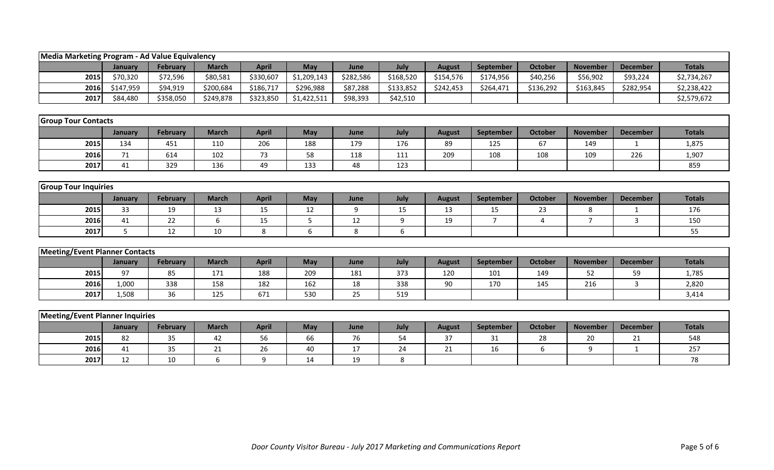| Media Marketing Program - Ad Value Equivalency |           |                 |                  |              |             |           |           |               |                |                |                 |                 |               |
|------------------------------------------------|-----------|-----------------|------------------|--------------|-------------|-----------|-----------|---------------|----------------|----------------|-----------------|-----------------|---------------|
|                                                | January   | February        | <b>March</b>     | <b>April</b> | May         | June      | July      | <b>August</b> | September      | <b>October</b> | <b>November</b> | <b>December</b> | <b>Totals</b> |
| 2015                                           | \$70,320  | \$72,596        | \$80,581         | \$330,607    | \$1,209,143 | \$282,586 | \$168,520 | \$154,576     | \$174,956      | \$40,256       | \$56,902        | \$93,224        | \$2,734,267   |
| 2016                                           | \$147,959 | \$94,919        | \$200,684        | \$186,717    | \$296,988   | \$87,288  | \$133,852 | \$242,453     | \$264,471      | \$136,292      | \$163,845       | \$282,954       | \$2,238,422   |
| 2017                                           | \$84,480  | \$358,050       | \$249,878        | \$323,850    | \$1,422,511 | \$98,393  | \$42,510  |               |                |                |                 |                 | \$2,579,672   |
|                                                |           |                 |                  |              |             |           |           |               |                |                |                 |                 |               |
| <b>Group Tour Contacts</b>                     |           |                 |                  |              |             |           |           |               |                |                |                 |                 |               |
|                                                | January   | February        | <b>March</b>     | <b>April</b> | May         | June      | July      | <b>August</b> | September      | <b>October</b> | <b>November</b> | <b>December</b> | <b>Totals</b> |
| 2015                                           | 134       | 451             | 110              | 206          | 188         | 179       | 176       | 89            | 125            | 67             | 149             | 1               | 1,875         |
| 2016                                           | 71        | 614             | 102              | 73           | 58          | 118       | 111       | 209           | 108            | 108            | 109             | 226             | 1,907         |
| 2017                                           | 41        | 329             | 136              | 49           | 133         | 48        | 123       |               |                |                |                 |                 | 859           |
|                                                |           |                 |                  |              |             |           |           |               |                |                |                 |                 |               |
| <b>Group Tour Inquiries</b>                    |           |                 |                  |              |             |           |           |               |                |                |                 |                 |               |
|                                                | January   | <b>February</b> | <b>March</b>     | <b>April</b> | May         | June      | July      | <b>August</b> | September      | <b>October</b> | <b>November</b> | <b>December</b> | <b>Totals</b> |
| 2015                                           | 33        | 19              | 13               | 15           | 12          | 9         | 15        | 13            | 15             | 23             | 8               |                 | 176           |
| 2016                                           | 41        | 22              | $\boldsymbol{6}$ | 15           | 5           | 12        | 9         | 19            | $\overline{7}$ | $\overline{4}$ | $\overline{7}$  | 3               | 150           |
| 2017                                           | 5         | 12              | 10               | 8            | 6           | 8         | 6         |               |                |                |                 |                 | 55            |
|                                                |           |                 |                  |              |             |           |           |               |                |                |                 |                 |               |
| <b>Meeting/Event Planner Contacts</b>          |           |                 |                  |              |             |           |           |               |                |                |                 |                 |               |
|                                                | January   | <b>February</b> | <b>March</b>     | <b>April</b> | May         | June      | July      | <b>August</b> | September      | <b>October</b> | <b>November</b> | <b>December</b> | <b>Totals</b> |
| 2015                                           | 97        | 85              | 171              | 188          | 209         | 181       | 373       | 120           | 101            | 149            | 52              | 59              | 1,785         |
| 2016                                           | 1,000     | 338             | 158              | 182          | 162         | 18        | 338       | 90            | 170            | 145            | 216             | 3               | 2,820         |
| 2017                                           | 1,508     | 36              | 125              | 671          | 530         | 25        | 519       |               |                |                |                 |                 | 3,414         |
|                                                |           |                 |                  |              |             |           |           |               |                |                |                 |                 |               |
| <b>Meeting/Event Planner Inquiries</b>         |           |                 |                  |              |             |           |           |               |                |                |                 |                 |               |
|                                                | January   | <b>February</b> | <b>March</b>     | <b>April</b> | May         | June      | July      | <b>August</b> | September      | <b>October</b> | <b>November</b> | <b>December</b> | <b>Totals</b> |
| 2015                                           | 82        | 35              | 42               | 56           | 66          | 76        | 54        | 37            | 31             | 28             | 20              | 21              | 548           |
| 2016                                           | 41        | 35              | 21               | 26           | 40          | 17        | 24        | 21            | 16             | 6              | 9               | $\mathbf{1}$    | 257           |
| 2017                                           | 12        | 10              | 6                | 9            | 14          | 19        | 8         |               |                |                |                 |                 | 78            |